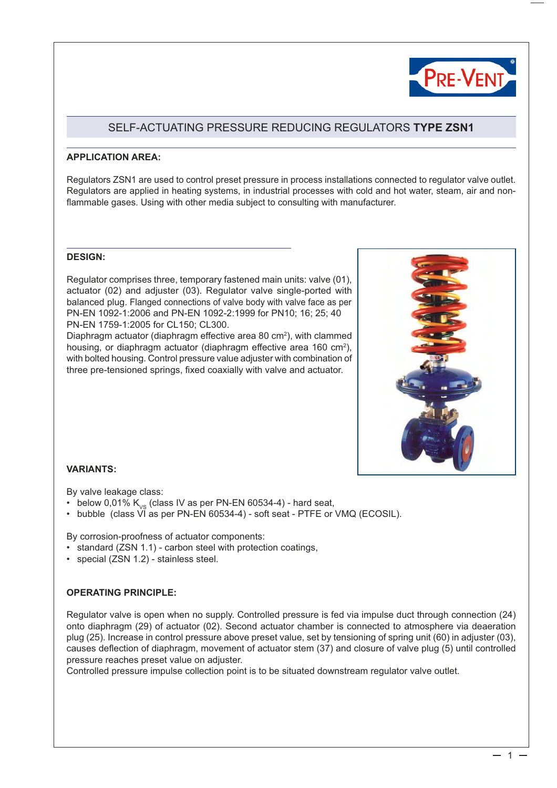

# SELF-ACTUATING PRESSURE REDUCING REGULATORS **TYPE ZSN1**

## **APPLICATION AREA:**

Regulators ZSN1 are used to control preset pressure in process installations connected to regulator valve outlet. Regulators are applied in heating systems, in industrial processes with cold and hot water, steam, air and nonflammable gases. Using with other media subject to consulting with manufacturer.

#### **DESIGN:**

Regulator comprises three, temporary fastened main units: valve (01), actuator (02) and adjuster (03). Regulator valve single-ported with balanced plug. Flanged connections of valve body with valve face as per PN-EN 1092-1:2006 and PN-EN 1092-2:1999 for PN10; 16; 25; 40 PN-EN 1759-1:2005 for CL150; CL300.

Diaphragm actuator (diaphragm effective area 80  $\text{cm}^2$ ), with clammed housing, or diaphragm actuator (diaphragm effective area 160 cm<sup>2</sup>), with bolted housing. Control pressure value adjuster with combination of three pre-tensioned springs, fixed coaxially with valve and actuator.



#### **VARIANTS:**

By valve leakage class:

- below 0,01%  $K_{vs}$  (class IV as per PN-EN 60534-4) hard seat,
- bubble (class VI as per PN-EN 60534-4) soft seat PTFE or VMQ (ECOSIL).

By corrosion-proofness of actuator components:

- standard (ZSN 1.1) carbon steel with protection coatings,
- special (ZSN 1.2) stainless steel.

# **OPERATING PRINCIPLE:**

Regulator valve is open when no supply. Controlled pressure is fed via impulse duct through connection (24) onto diaphragm (29) of actuator (02). Second actuator chamber is connected to atmosphere via deaeration plug (25). Increase in control pressure above preset value, set by tensioning of spring unit (60) in adjuster (03), causes deflection of diaphragm, movement of actuator stem (37) and closure of valve plug (5) until controlled pressure reaches preset value on adjuster.

Controlled pressure impulse collection point is to be situated downstream regulator valve outlet.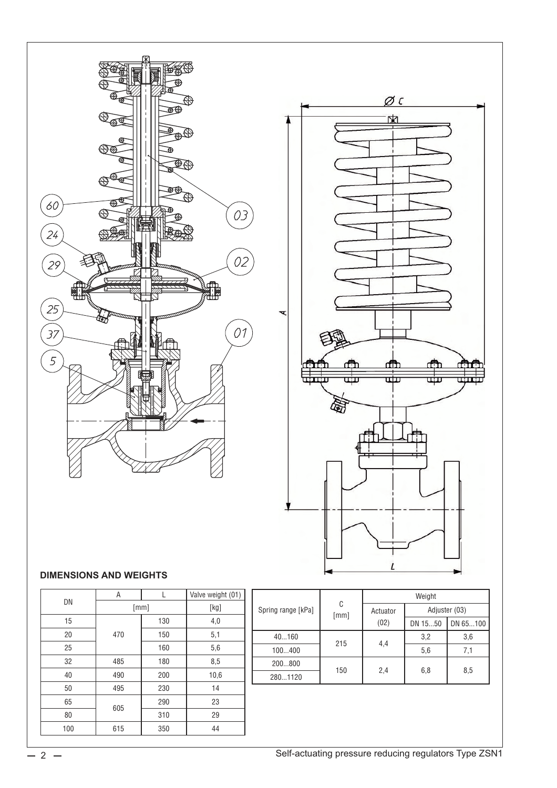

# **DIMENSIONS AND WEIGHTS**

|     | A    | L    | Valve weight (01) |
|-----|------|------|-------------------|
| DN  | [mm] | [kg] |                   |
| 15  |      | 130  | 4,0               |
| 20  | 470  | 150  | 5,1               |
| 25  |      | 160  | 5,6               |
| 32  | 485  | 180  | 8,5               |
| 40  | 490  | 200  | 10,6              |
| 50  | 495  | 230  | 14                |
| 65  | 605  | 290  | 23                |
| 80  |      | 310  | 29                |
| 100 | 615  | 350  | 44                |

|                    | C<br>[mm] | Weight   |               |          |  |
|--------------------|-----------|----------|---------------|----------|--|
| Spring range [kPa] |           | Actuator | Adjuster (03) |          |  |
|                    |           | (02)     | DN 1550       | DN 65100 |  |
| 40160              | 215       | 4,4      | 3,2           | 3,6      |  |
| 100400             |           |          | 5,6           | 7,1      |  |
| 200800             |           | 2,4      |               | 8,5      |  |
| 2801120            | 150       |          | 6,8           |          |  |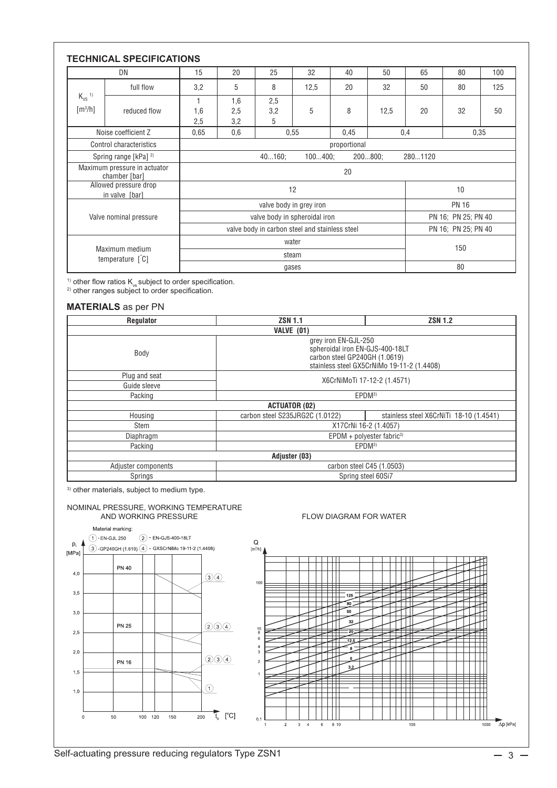|                                                                              | DN                                            | 15                                             | 20                  | 25              | 32   | 40  | 50                  | 65 | 80 | 100 |
|------------------------------------------------------------------------------|-----------------------------------------------|------------------------------------------------|---------------------|-----------------|------|-----|---------------------|----|----|-----|
|                                                                              | full flow                                     | 3,2                                            | 5                   | 8               | 12,5 | 20  | 32                  | 50 | 80 | 125 |
| $K_{VS}$ <sup>1)</sup><br>$\lceil m^3/h \rceil$                              | reduced flow                                  | 1<br>1,6<br>2,5                                | 1,6<br>2,5<br>3,2   | 2,5<br>3,2<br>5 | 5    | 8   | 12,5                | 20 | 32 | 50  |
|                                                                              | Noise coefficient Z                           | 0,65                                           | 0,6<br>0.55<br>0,45 |                 |      | 0,4 | 0,35                |    |    |     |
|                                                                              | Control characteristics                       | proportional                                   |                     |                 |      |     |                     |    |    |     |
|                                                                              | Spring range [kPa] <sup>2)</sup>              | $200800$ ;<br>40160<br>$100400$ ;<br>2801120   |                     |                 |      |     |                     |    |    |     |
|                                                                              | Maximum pressure in actuator<br>chamber [bar] | 20                                             |                     |                 |      |     |                     |    |    |     |
|                                                                              | Allowed pressure drop<br>in valve [bar]       | 12                                             |                     |                 |      | 10  |                     |    |    |     |
| Valve nominal pressure                                                       |                                               | valve body in grey iron                        |                     |                 |      |     | <b>PN 16</b>        |    |    |     |
|                                                                              |                                               | valve body in spheroidal iron                  |                     |                 |      |     | PN 16; PN 25; PN 40 |    |    |     |
|                                                                              |                                               | valve body in carbon steel and stainless steel |                     |                 |      |     | PN 16; PN 25; PN 40 |    |    |     |
| Maximum medium<br>temperature $\left[\begin{array}{cc} C \end{array}\right]$ |                                               | water                                          |                     |                 |      |     | 150                 |    |    |     |
|                                                                              |                                               | steam                                          |                     |                 |      |     |                     |    |    |     |
|                                                                              |                                               | gases                                          |                     |                 |      |     | 80                  |    |    |     |

<sup>1)</sup> other flow ratios  $\mathsf{K}_{\mathsf{vs}}$  subject to order specification.

 $2)$  other ranges subject to order specification.

### **MATERIALS** as per PN

| Regulator           | <b>ZSN 1.1</b>                                                                                                                         | <b>ZSN 1.2</b> |  |  |  |  |
|---------------------|----------------------------------------------------------------------------------------------------------------------------------------|----------------|--|--|--|--|
| <b>VALVE (01)</b>   |                                                                                                                                        |                |  |  |  |  |
| Body                | grey iron EN-GJL-250<br>spheroidal iron EN-GJS-400-18LT<br>carbon steel GP240GH (1.0619)<br>stainless steel GX5CrNiMo 19-11-2 (1.4408) |                |  |  |  |  |
| Plug and seat       | X6CrNiMoTi 17-12-2 (1.4571)                                                                                                            |                |  |  |  |  |
| Guide sleeve        |                                                                                                                                        |                |  |  |  |  |
| Packing             | EPDM <sup>3)</sup>                                                                                                                     |                |  |  |  |  |
|                     | <b>ACTUATOR (02)</b>                                                                                                                   |                |  |  |  |  |
| Housing             | carbon steel S235JRG2C (1.0122)<br>stainless steel X6CrNiTi 18-10 (1.4541)                                                             |                |  |  |  |  |
| Stem                | X17CrNi 16-2 (1.4057)                                                                                                                  |                |  |  |  |  |
| Diaphragm           | $EPDM + polyester fabric3$                                                                                                             |                |  |  |  |  |
| Packing             | EPDM <sup>3)</sup>                                                                                                                     |                |  |  |  |  |
| Adjuster (03)       |                                                                                                                                        |                |  |  |  |  |
| Adjuster components | carbon steel C45 (1.0503)                                                                                                              |                |  |  |  |  |
| Springs             | Spring steel 60Si7                                                                                                                     |                |  |  |  |  |

3) other materials, subject to medium type.